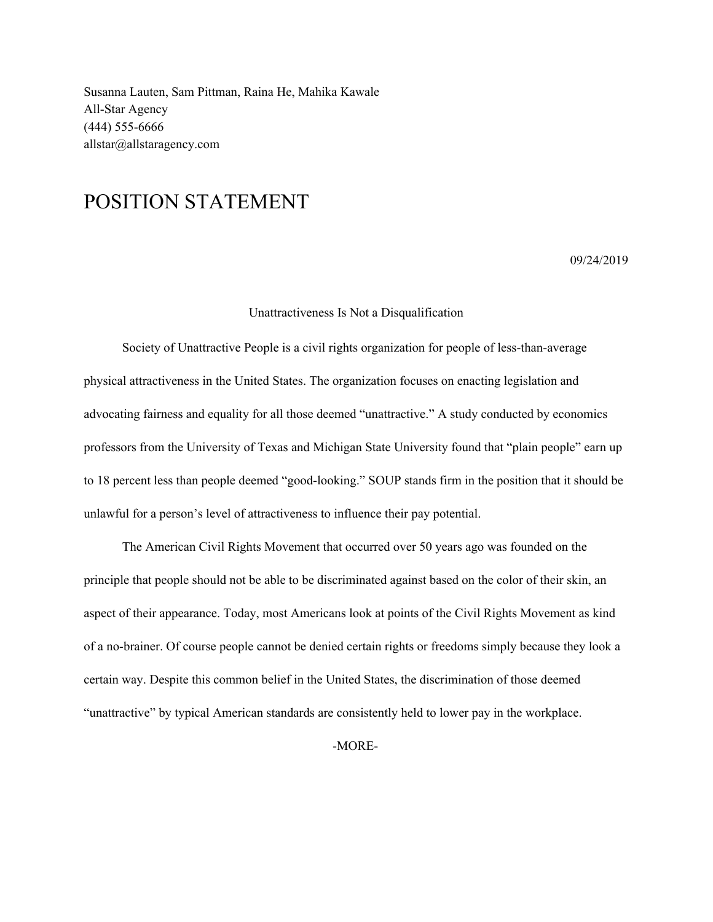Susanna Lauten, Sam Pittman, Raina He, Mahika Kawale All-Star Agency (444) 555-6666 allstar@allstaragency.com

## POSITION STATEMENT

09/24/2019

## Unattractiveness Is Not a Disqualification

Society of Unattractive People is a civil rights organization for people of less-than-average physical attractiveness in the United States. The organization focuses on enacting legislation and advocating fairness and equality for all those deemed "unattractive." A study conducted by economics professors from the University of Texas and Michigan State University found that "plain people" earn up to 18 percent less than people deemed "good-looking." SOUP stands firm in the position that it should be unlawful for a person's level of attractiveness to influence their pay potential.

The American Civil Rights Movement that occurred over 50 years ago was founded on the principle that people should not be able to be discriminated against based on the color of their skin, an aspect of their appearance. Today, most Americans look at points of the Civil Rights Movement as kind of a no-brainer. Of course people cannot be denied certain rights or freedoms simply because they look a certain way. Despite this common belief in the United States, the discrimination of those deemed "unattractive" by typical American standards are consistently held to lower pay in the workplace.

-MORE-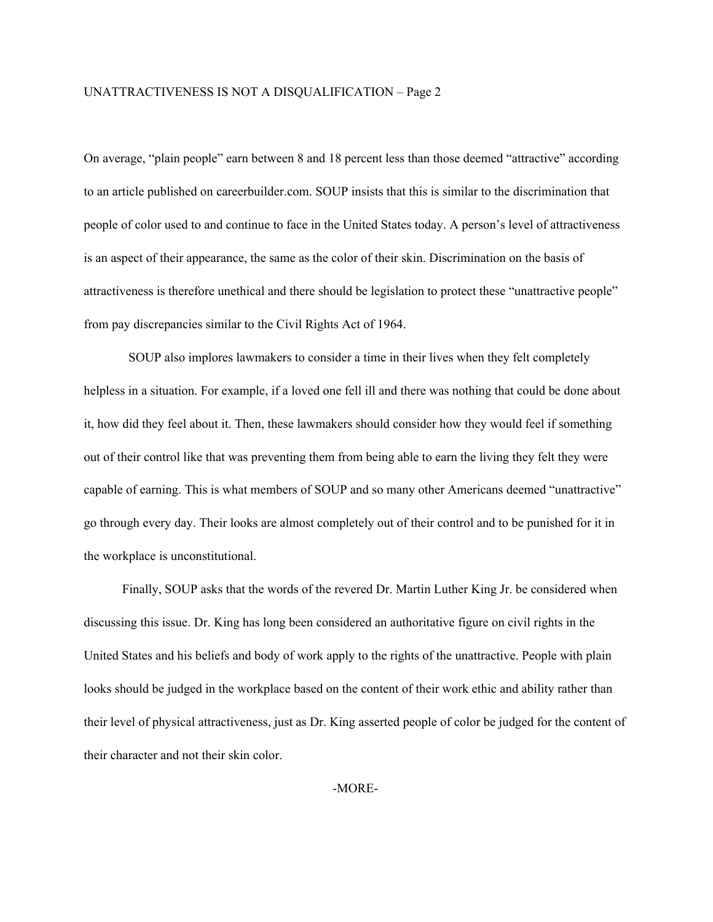## UNATTRACTIVENESS IS NOT A DISQUALIFICATION – Page 2

On average, "plain people" earn between 8 and 18 percent less than those deemed "attractive" according to an article published on careerbuilder.com. SOUP insists that this is similar to the discrimination that people of color used to and continue to face in the United States today. A person's level of attractiveness is an aspect of their appearance, the same as the color of their skin. Discrimination on the basis of attractiveness is therefore unethical and there should be legislation to protect these "unattractive people" from pay discrepancies similar to the Civil Rights Act of 1964.

SOUP also implores lawmakers to consider a time in their lives when they felt completely helpless in a situation. For example, if a loved one fell ill and there was nothing that could be done about it, how did they feel about it. Then, these lawmakers should consider how they would feel if something out of their control like that was preventing them from being able to earn the living they felt they were capable of earning. This is what members of SOUP and so many other Americans deemed "unattractive" go through every day. Their looks are almost completely out of their control and to be punished for it in the workplace is unconstitutional.

Finally, SOUP asks that the words of the revered Dr. Martin Luther King Jr. be considered when discussing this issue. Dr. King has long been considered an authoritative figure on civil rights in the United States and his beliefs and body of work apply to the rights of the unattractive. People with plain looks should be judged in the workplace based on the content of their work ethic and ability rather than their level of physical attractiveness, just as Dr. King asserted people of color be judged for the content of their character and not their skin color.

-MORE-